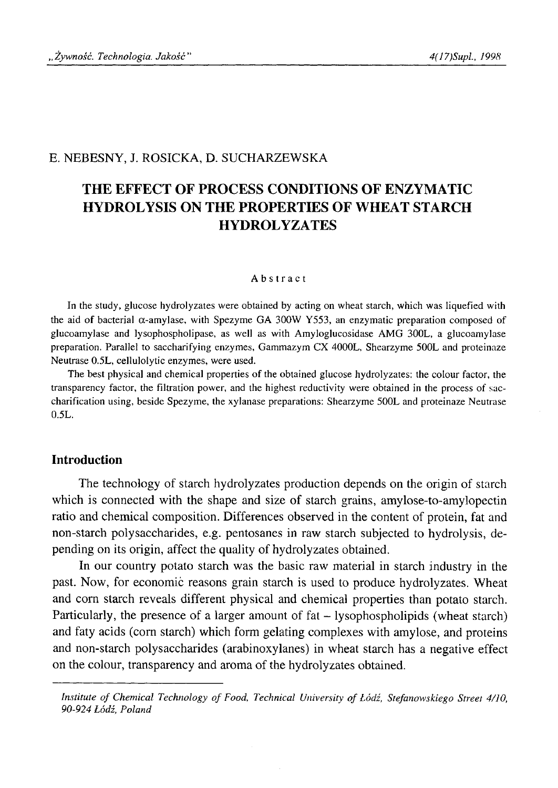#### E. NEBESNY, J. ROSIČKA, D. SUCHARZEWSKA

# **THE EFFECT OF PROCESS CONDITIONS OF ENZYMATIC HYDROLYSIS ON THE PROPERTIES OF WHEAT STARCH HYDROLYZATES**

#### Abstract

In the study, glucose hydrolyzates were obtained by acting on wheat starch, which was liquefied with the aid of bacterial  $\alpha$ -amylase, with Spezyme GA 300W Y553, an enzymatic preparation composed of glucoamylase and lysophospholipase, as well as with Amyloglucosidase AMG 300L, a glucoamylase preparation. Parallel to saccharifying enzymes, Gammazym CX 4000L, Shearzyme 500L and proteinaze Neutrase 0.5L, cellulolytic enzymes, were used.

The best physical and chemical properties of the obtained glucose hydrolyzates: the colour factor, the transparency factor, the filtration power, and the highest reductivity were obtained in the process of saccharification using, beside Spezyme, the xylanase preparations: Shearzyme 500L and proteinaze Neutrase 0.5L.

#### **Introduction**

The technology of starch hydrolyzates production depends on the origin of starch which is connected with the shape and size of starch grains, amylose-to-amylopectin ratio and chemical composition. Differences observed in the content of protein, fat and non-starch polysaccharides, e.g. pentosanes in raw starch subjected to hydrolysis, depending on its origin, affect the quality of hydrolyzates obtained.

In our country potato starch was the basic raw material in starch industry in the past. Now, for economic reasons grain starch is used to produce hydrolyzates. Wheat and com starch reveals different physical and chemical properties than potato starch. Particularly, the presence of a larger amount of fat – lysophospholipids (wheat starch) and faty acids (corn starch) which form gelating complexes with amylose, and proteins and non-starch polysaccharides (arabinoxylanes) in wheat starch has a negative effect on the colour, transparency and aroma of the hydrolyzates obtained.

Institute of Chemical Technology of Food, Technical University of Łódź, Stefanowskiego Street 4/10, *90-924 Łódź, Poland*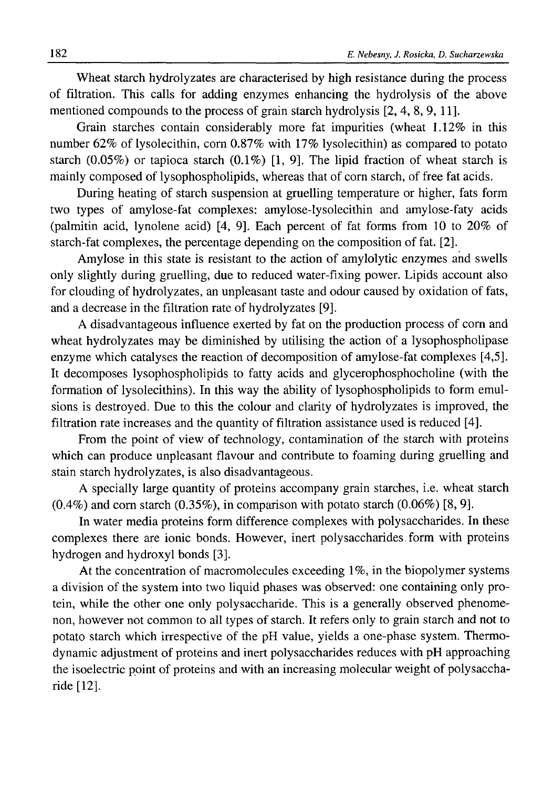Wheat starch hydrolyzates are characterised by high resistance during the process of filtration. This calls for adding enzymes enhancing the hydrolysis of the above mentioned compounds to the process of grain starch hydrolysis [2, 4, 8, 9, 11].

Grain starches contain considerably more fat impurities (wheat 1.12% in this number 62% of lysolecithin, corn 0.87% with 17% lysolecithin) as compared to potato starch  $(0.05\%)$  or tapioca starch  $(0.1\%)$  [1, 9]. The lipid fraction of wheat starch is mainly composed of lysophospholipids, whereas that of corn starch, of free fat acids.

During heating of starch suspension at gruelling temperature or higher, fats form two types of amylose-fat complexes: amylose-lysolecithin and amylose-faty acids (palmitin acid, lynolene acid) [4, 9]. Each percent of fat forms from 10 to 20% of starch-fat complexes, the percentage depending on the composition of fat. [2],

Amylose in this state is resistant to the action of amylolytic enzymes and swells only slightly during gruelling, due to reduced water-fixing power. Lipids account also for clouding of hydrolyzates, an unpleasant taste and odour caused by oxidation of fats, and a decrease in the filtration rate of hydrolyzates [9].

A disadvantageous influence exerted by fat on the production process of corn and wheat hydrolyzates may be diminished by utilising the action of a lysophospholipase enzyme which catalyses the reaction of decomposition of amylose-fat complexes [4,5]. It decomposes lysophospholipids to fatty acids and glycerophosphocholine (with the formation of lysolecithins). In this way the ability of lysophospholipids to form emulsions is destroyed. Due to this the colour and clarity of hydrolyzates is improved, the filtration rate increases and the quantity of filtration assistance used is reduced [4].

From the point of view of technology, contamination of the starch with proteins which can produce unpleasant flavour and contribute to foaming during gruelling and stain starch hydrolyzates, is also disadvantageous.

A specially large quantity of proteins accompany grain starches, i.e. wheat starch  $(0.4\%)$  and corn starch  $(0.35\%)$ , in comparison with potato starch  $(0.06\%)$  [8, 9].

In water media proteins form difference complexes with polysaccharides. In these complexes there are ionic bonds. However, inert polysaccharides form with proteins hydrogen and hydroxyl bonds [3].

At the concentration of macromolecules exceeding 1%, in the biopolymer systems a division of the system into two liquid phases was observed: one containing only protein, while the other one only polysaccharide. This is a generally observed phenomenon, however not common to all types of starch. It refers only to grain starch and not to potato starch which irrespective of the pH value, yields a one-phase system. Thermodynamic adjustment of proteins and inert polysaccharides reduces with pH approaching the isoelectric point of proteins and with an increasing molecular weight of polysaccharide [12].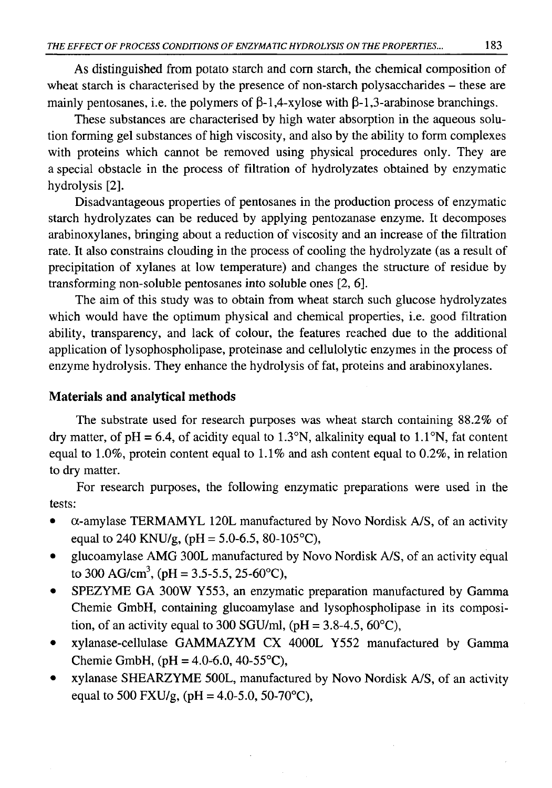As distinguished from potato starch and com starch, the chemical composition of wheat starch is characterised by the presence of non-starch polysaccharides - these are mainly pentosanes, i.e. the polymers of  $\beta$ -1,4-xylose with  $\beta$ -1,3-arabinose branchings.

These substances are characterised by high water absorption in the aqueous solution forming gel substances of high viscosity, and also by the ability to form complexes with proteins which cannot be removed using physical procedures only. They are a special obstacle in the process of filtration of hydrolyzates obtained by enzymatic hydrolysis [2].

Disadvantageous properties of pentosanes in the production process of enzymatic starch hydrolyzates can be reduced by applying pentozanase enzyme. It decomposes arabinoxylanes, bringing about a reduction of viscosity and an increase of the filtration rate. It also constrains clouding in the process of cooling the hydrolyzate (as a result of precipitation of xylanes at low temperature) and changes the structure of residue by transforming non-soluble pentosanes into soluble ones [2, 6].

The aim of this study was to obtain from wheat starch such glucose hydrolyzates which would have the optimum physical and chemical properties, i.e. good filtration ability, transparency, and lack of colour, the features reached due to the additional application of lysophospholipase, proteinase and cellulolytic enzymes in the process of enzyme hydrolysis. They enhance the hydrolysis of fat, proteins and arabinoxylanes.

# **Materials and analytical methods**

The substrate used for research purposes was wheat starch containing 88.2% of dry matter, of  $pH = 6.4$ , of acidity equal to 1.3°N, alkalinity equal to 1.1°N, fat content equal to 1.0%, protein content equal to 1.1% and ash content equal to 0.2%, in relation to dry matter.

For research purposes, the following enzymatic preparations were used in the tests:

- a-amylase TERMAMYL 120L manufactured by Novo Nordisk A/S, of an activity equal to 240 KNU/g, (pH =  $5.0-6.5$ , 80-105°C),
- glucoamylase AMG 300L manufactured by Novo Nordisk A/S, of an activity equal to 300 AG/cm<sup>3</sup>, (pH = 3.5-5.5, 25-60°C),
- SPEZYME GA 300W Y553, an enzymatic preparation manufactured by Gamma Chemie GmbH, containing glucoamylase and lysophospholipase in its composition, of an activity equal to 300 SGU/ml, (pH =  $3.8-4.5$ ,  $60^{\circ}$ C),
- xylanase-cellulase GAMMAZYM CX 4000L Y552 manufactured by Gamma Chemie GmbH, (pH =  $4.0-6.0$ ,  $40-55^{\circ}$ C),
- xylanase SHEARZYME 500L, manufactured by Novo Nordisk A/S, of an activity equal to 500 FXU/g, (pH = 4.0-5.0, 50-70 °C),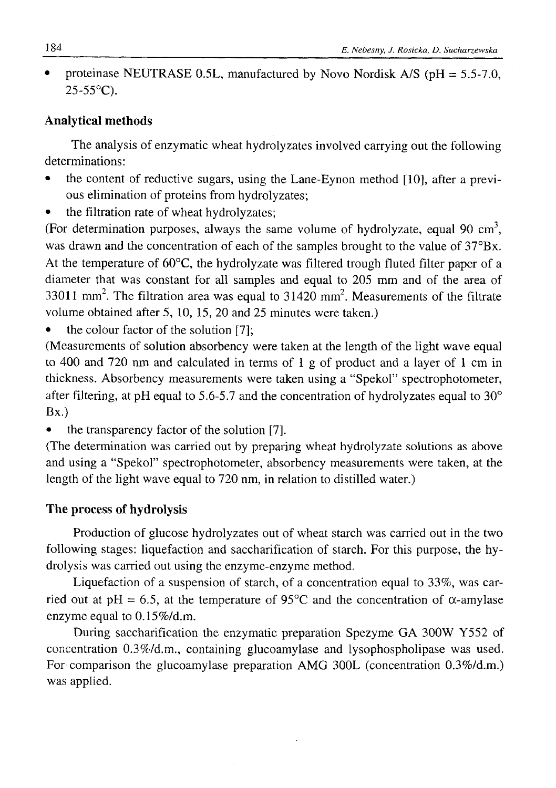• proteinase NEUTRASE 0.5L, manufactured by Novo Nordisk A/S ( $pH = 5.5$ -7.0, 25-55°C).

# **Analytical methods**

The analysis of enzymatic wheat hydrolyzates involved carrying out the following determinations:

- the content of reductive sugars, using the Lane-Eynon method [10], after a previous elimination of proteins from hydrolyzates;
- the filtration rate of wheat hydrolyzates:

(For determination purposes, always the same volume of hydrolyzate, equal 90 cm3, was drawn and the concentration of each of the samples brought to the value of  $37^{\circ}Bx$ . At the temperature of 60°C, the hydrolyzate was filtered trough fluted filter paper of a diameter that was constant for all samples and equal to 205 mm and of the area of  $33011$  mm<sup>2</sup>. The filtration area was equal to  $31420$  mm<sup>2</sup>. Measurements of the filtrate volume obtained after 5, 10, 15, 20 and 25 minutes were taken.)

the colour factor of the solution [7];

(Measurements of solution absorbency were taken at the length of the light wave equal to 400 and 720 nm and calculated in terms of 1 g of product and a layer of 1 cm in thickness. Absorbency measurements were taken using a "Spekol" spectrophotometer, after filtering, at pH equal to 5.6-5.7 and the concentration of hydrolyzates equal to  $30^{\circ}$ Bx.)

• the transparency factor of the solution [7].

(The determination was carried out by preparing wheat hydrolyzate solutions as above and using a "Spekol" spectrophotometer, absorbency measurements were taken, at the length of the light wave equal to 720 nm, in relation to distilled water.)

# **The process of hydrolysis**

Production of glucose hydrolyzates out of wheat starch was carried out in the two following stages: liquefaction and saccharification of starch. For this purpose, the hydrolysis was carried out using the enzyme-enzyme method.

Liquefaction of a suspension of starch, of a concentration equal to 33%, was carried out at pH = 6.5, at the temperature of 95<sup>o</sup>C and the concentration of  $\alpha$ -amylase enzyme equal to 0.15%/d.m.

During saccharification the enzymatic preparation Spezyme GA 300W Y552 of concentration 0.3%/d.m., containing glucoamylase and lysophospholipase was used. For comparison the glucoamylase preparation AMG 300L (concentration 0.3%/d.m.) was applied.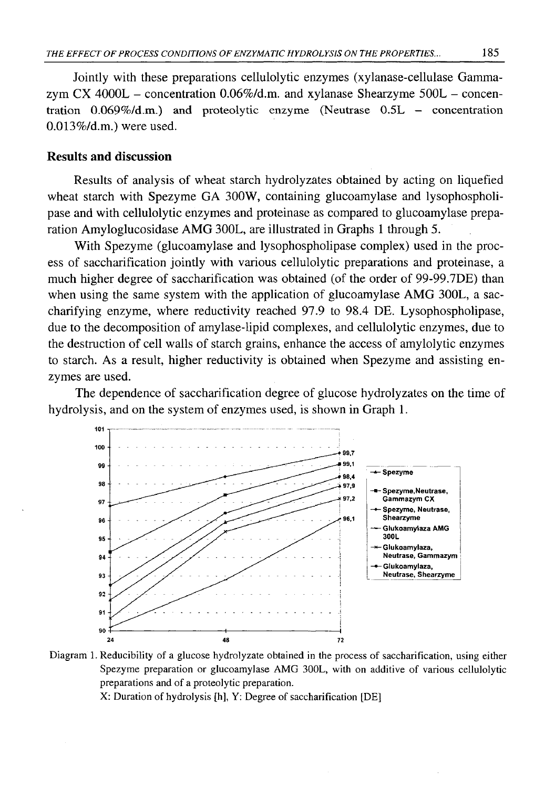Jointly with these preparations cellulolytic enzymes (xylanase-cellulase Gammazym CX 4000L - concentration  $0.06\%$ /d.m. and xylanase Shearzyme 500L - concentration 0.069%/d.m.) and **proteolytic enzyme (Neutrase** 0.5L — concentration 0.013%/d.m.) were used.

#### **Results and discussion**

Results of analysis of wheat starch hydrolyzates obtained by acting on liquefied wheat starch with Spezyme GA 300W, containing glucoamylase and lysophospholipase and with cellulolytic enzymes and proteinase as compared to glucoamylase preparation Amyloglucosidase AMG 300L, are illustrated in Graphs 1 through 5.

With Spezyme (glucoamylase and lysophospholipase complex) used in the process of saccharification jointly with various cellulolytic preparations and proteinase, a much higher degree of saccharification was obtained (of the order of 99-99.7DE) than when using the same system with the application of glucoamylase AMG 300L, a saccharifying enzyme, where reductivity reached 97.9 to 98.4 DE. Lysophospholipase, due to the decomposition of amylase-lipid complexes, and cellulolytic enzymes, due to the destruction of cell walls of starch grains, enhance the access of amylolytic enzymes to starch. As a result, higher reductivity is obtained when Spezyme and assisting enzymes are used.

The dependence of saccharification degree of glucose hydrolyzates on the time of hydrolysis, and on the system of enzymes used, is shown in Graph 1.



Diagram 1. Reducibility of a glucose hydrolyzate obtained in the process of saccharification, using either Spezyme preparation or glucoamylase AMG 300L, with on additive of various cellulolytic preparations and of a proteolytic preparation.

X: Duration of hydrolysis [h], Y: Degree of saccharification [DE]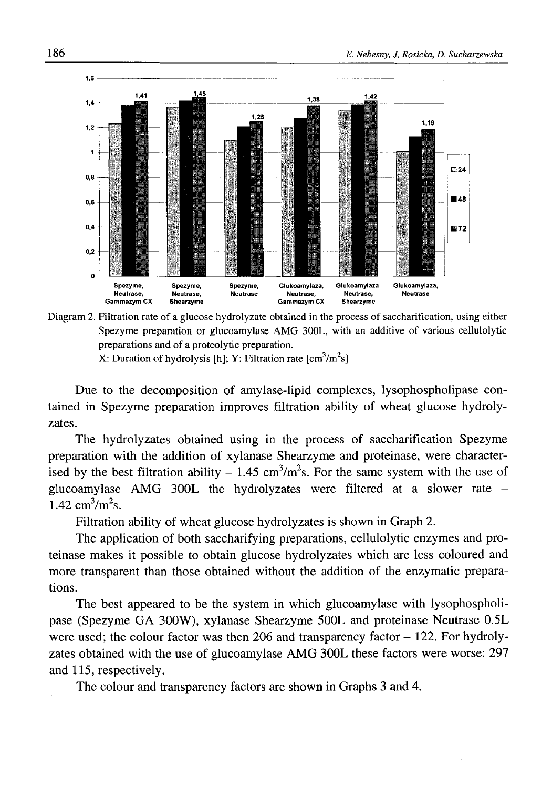

Diagram 2. Filtration rate of a glucose hydrolyzate obtained in the process of saccharification, using either Spezyme preparation or glucoamylase AMG 300L, with an additive of various cellulolytic preparations and of a proteolytic preparation. X: Duration of hydrolysis [h]; Y: Filtration rate  $[cm<sup>3</sup>/m<sup>2</sup>s]$ 

Due to the decomposition of amylase-lipid complexes, lysophospholipase contained in Spezyme preparation improves filtration ability of wheat glucose hydrolyzates.

The hydrolyzates obtained using in the process of saccharification Spezyme preparation with the addition of xylanase Shearzyme and proteinase, were characterised by the best filtration ability  $-1.45 \text{ cm}^3/\text{m}^2$ s. For the same system with the use of glucoamylase AMG 300L the hydrolyzates were filtered at a slower rate -  $1.42 \text{ cm}^3/\text{m}^2\text{s}$ .

Filtration ability of wheat glucose hydrolyzates is shown in Graph 2.

The application of both saccharifying preparations, cellulolytic enzymes and proteinase makes it possible to obtain glucose hydrolyzates which are less coloured and more transparent than those obtained without the addition of the enzymatic preparations.

The best appeared to be the system in which glucoamylase with lysophospholipase (Spezyme GA 300W), xylanase Shearzyme 500L and proteinase Neutrase 0.5L were used; the colour factor was then  $206$  and transparency factor  $-122$ . For hydrolyzates obtained with the use of glucoamylase AMG 300L these factors were worse: 297 and 115, respectively.

The colour and transparency factors are shown in Graphs 3 and 4.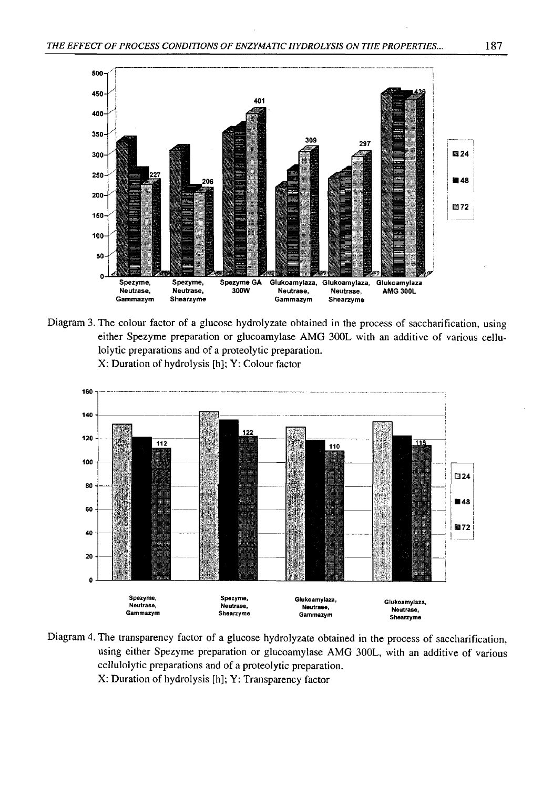

Diagram 3. The colour factor of a glucose hydrolyzate obtained in the process of saccharification, using either Spezyme preparation or glucoamylase AMG 300L with an additive of various cellulolytic preparations and of a proteolytic preparation. X: Duration of hydrolysis [h]; Y: Colour factor



Diagram 4. The transparency factor of a glucose hydrolyzate obtained in the process of saccharification, using either Spezyme preparation or glucoamylase AMG 300L, with an additive of various cellulolytic preparations and of a proteolytic preparation. X: Duration of hydrolysis [h]; Y: Transparency factor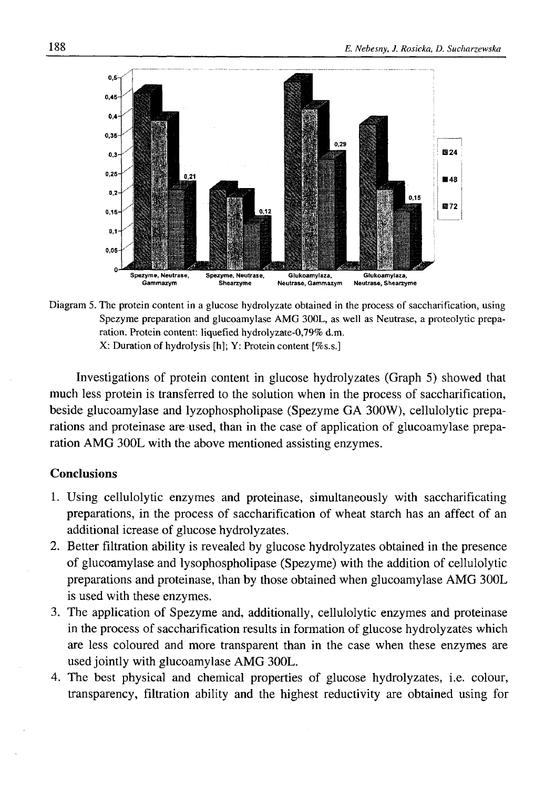

Diagram 5. The protein content in a glucose hydrolyzate obtained in the process of saccharification, using Spezyme preparation and glucoamylase AMG 300L, as well as Neutrase, a proteolytic preparation. Protein content: liquefied hydrolyzate-0,79% d.m. X: Duration of hydrolysis [h]; Y: Protein content [%s.s.]

Investigations of protein content in glucose hydrolyzates (Graph 5) showed that much less protein is transferred to the solution when in the process of saccharification, beside glucoamylase and lyzophospholipase (Spezyme GA 300W), cellulolytic preparations and proteinase are used, than in the case of application of glucoamylase preparation AMG 300L with the above mentioned assisting enzymes.

# **Conclusions**

- 1. Using cellulolytic enzymes and proteinase, simultaneously with saccharificating preparations, in the process of saccharification of wheat starch has an affect of an additional icrease of glucose hydrolyzates.
- 2. Better filtration ability is revealed by glucose hydrolyzates obtained in the presence of glucoamylase and lysophospholipase (Spezyme) with the addition of cellulolytic preparations and proteinase, than by those obtained when glucoamylase AMG 300L is used with these enzymes.
- 3. The application of Spezyme and, additionally, cellulolytic enzymes and proteinase in the process of saccharification results in formation of glucose hydrolyzates which are less coloured and more transparent than in the case when these enzymes are used jointly with glucoamylase AMG 300L.
- 4. The best physical and chemical properties of glucose hydrolyzates, i.e. colour, transparency, filtration ability and the highest reductivity are obtained using for